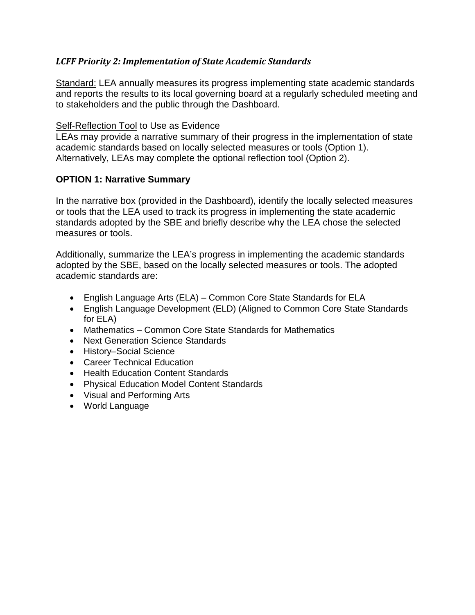## *LCFF Priority 2: Implementation of State Academic Standards*

Standard: LEA annually measures its progress implementing state academic standards and reports the results to its local governing board at a regularly scheduled meeting and to stakeholders and the public through the Dashboard.

#### Self-Reflection Tool to Use as Evidence

LEAs may provide a narrative summary of their progress in the implementation of state academic standards based on locally selected measures or tools (Option 1). Alternatively, LEAs may complete the optional reflection tool (Option 2).

## **OPTION 1: Narrative Summary**

In the narrative box (provided in the Dashboard), identify the locally selected measures or tools that the LEA used to track its progress in implementing the state academic standards adopted by the SBE and briefly describe why the LEA chose the selected measures or tools.

Additionally, summarize the LEA's progress in implementing the academic standards adopted by the SBE, based on the locally selected measures or tools. The adopted academic standards are:

- English Language Arts (ELA) Common Core State Standards for ELA
- English Language Development (ELD) (Aligned to Common Core State Standards for ELA)
- Mathematics Common Core State Standards for Mathematics
- Next Generation Science Standards
- History–Social Science
- Career Technical Education
- Health Education Content Standards
- Physical Education Model Content Standards
- Visual and Performing Arts
- World Language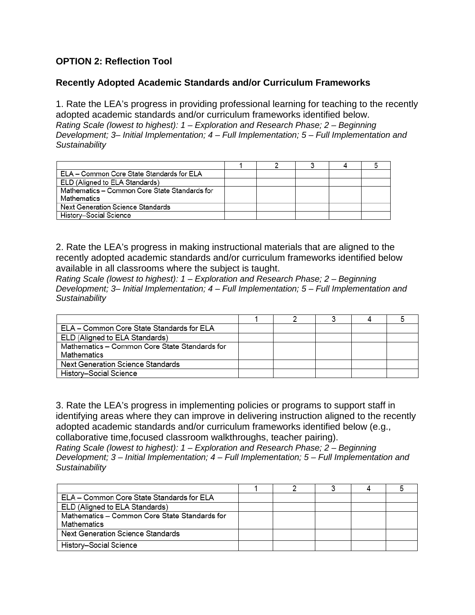# **OPTION 2: Reflection Tool**

## **Recently Adopted Academic Standards and/or Curriculum Frameworks**

1. Rate the LEA's progress in providing professional learning for teaching to the recently adopted academic standards and/or curriculum frameworks identified below. *Rating Scale (lowest to highest): 1 – Exploration and Research Phase; 2 – Beginning Development; 3– Initial Implementation; 4 – Full Implementation; 5 – Full Implementation and Sustainability*

| ELA – Common Core State Standards for ELA     |  |  |  |
|-----------------------------------------------|--|--|--|
| ELD (Aligned to ELA Standards)                |  |  |  |
| Mathematics - Common Core State Standards for |  |  |  |
| Mathematics                                   |  |  |  |
| Next Generation Science Standards             |  |  |  |
| History-Social Science                        |  |  |  |

2. Rate the LEA's progress in making instructional materials that are aligned to the recently adopted academic standards and/or curriculum frameworks identified below available in all classrooms where the subject is taught.

*Rating Scale (lowest to highest): 1 – Exploration and Research Phase; 2 – Beginning Development; 3– Initial Implementation; 4 – Full Implementation; 5 – Full Implementation and Sustainability*

| ELA - Common Core State Standards for ELA     |  |  |  |
|-----------------------------------------------|--|--|--|
| ELD (Aligned to ELA Standards)                |  |  |  |
| Mathematics - Common Core State Standards for |  |  |  |
| Mathematics                                   |  |  |  |
| Next Generation Science Standards             |  |  |  |
| History-Social Science                        |  |  |  |

3. Rate the LEA's progress in implementing policies or programs to support staff in identifying areas where they can improve in delivering instruction aligned to the recently adopted academic standards and/or curriculum frameworks identified below (e.g., collaborative time,focused classroom walkthroughs, teacher pairing).

*Rating Scale (lowest to highest): 1 – Exploration and Research Phase; 2 – Beginning Development; 3 – Initial Implementation; 4 – Full Implementation; 5 – Full Implementation and Sustainability*

| ELA - Common Core State Standards for ELA     |  |  |  |
|-----------------------------------------------|--|--|--|
| ELD (Aligned to ELA Standards)                |  |  |  |
| Mathematics - Common Core State Standards for |  |  |  |
| Mathematics                                   |  |  |  |
| Next Generation Science Standards             |  |  |  |
| History-Social Science                        |  |  |  |